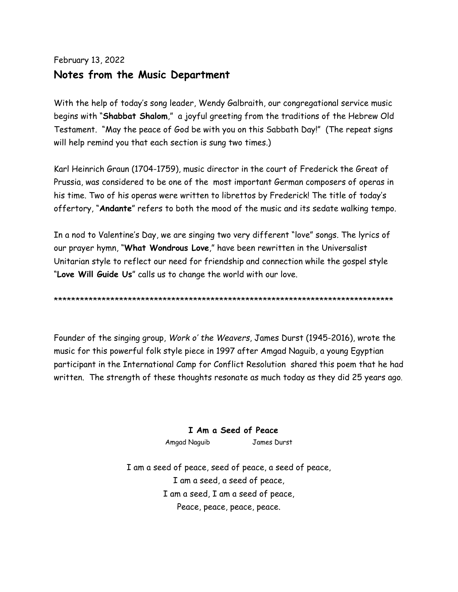# February 13, 2022 **Notes from the Music Department**

With the help of today's song leader, Wendy Galbraith, our congregational service music begins with "**Shabbat Shalom**," a joyful greeting from the traditions of the Hebrew Old Testament. "May the peace of God be with you on this Sabbath Day!" (The repeat signs will help remind you that each section is sung two times.)

Karl Heinrich Graun (1704-1759), music director in the court of Frederick the Great of Prussia, was considered to be one of the most important German composers of operas in his time. Two of his operas were written to librettos by Frederick! The title of today's offertory, "**Andante**" refers to both the mood of the music and its sedate walking tempo.

In a nod to Valentine's Day, we are singing two very different "love" songs. The lyrics of our prayer hymn, "**What Wondrous Love**," have been rewritten in the Universalist Unitarian style to reflect our need for friendship and connection while the gospel style "**Love Will Guide Us**" calls us to change the world with our love.

\*\*\*\*\*\*\*\*\*\*\*\*\*\*\*\*\*\*\*\*\*\*\*\*\*\*\*\*\*\*\*\*\*\*\*\*\*\*\*\*\*\*\*\*\*\*\*\*\*\*\*\*\*\*\*\*\*\*\*\*\*\*\*\*\*\*\*\*\*\*\*\*\*\*\*\*\*\*

Founder of the singing group, *Work o' the Weavers*, James Durst (1945-2016), wrote the music for this powerful folk style piece in 1997 after Amgad Naguib, a young Egyptian participant in the International Camp for Conflict Resolution shared this poem that he had written. The strength of these thoughts resonate as much today as they did 25 years ago.

## **I Am a Seed of Peace**

Amgad Naguib James Durst

I am a seed of peace, seed of peace, a seed of peace, I am a seed, a seed of peace, I am a seed, I am a seed of peace, Peace, peace, peace, peace.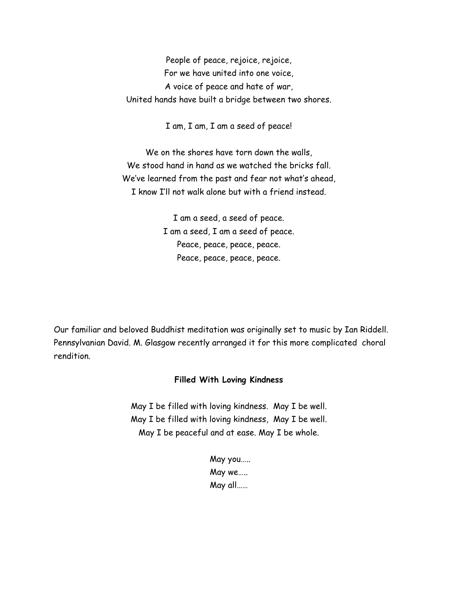People of peace, rejoice, rejoice, For we have united into one voice, A voice of peace and hate of war, United hands have built a bridge between two shores.

I am, I am, I am a seed of peace!

We on the shores have torn down the walls, We stood hand in hand as we watched the bricks fall. We've learned from the past and fear not what's ahead, I know I'll not walk alone but with a friend instead.

> I am a seed, a seed of peace. I am a seed, I am a seed of peace. Peace, peace, peace, peace. Peace, peace, peace, peace.

Our familiar and beloved Buddhist meditation was originally set to music by Ian Riddell. Pennsylvanian David. M. Glasgow recently arranged it for this more complicated choral rendition.

#### **Filled With Loving Kindness**

May I be filled with loving kindness. May I be well. May I be filled with loving kindness, May I be well. May I be peaceful and at ease. May I be whole.

> May you….. May we….. May all……